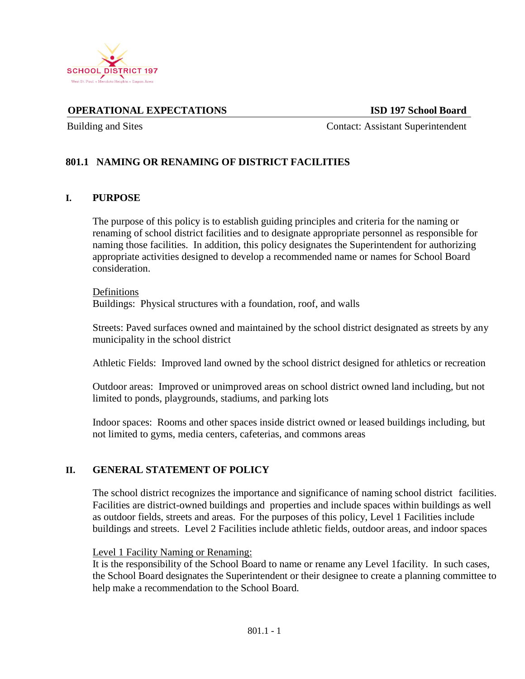

**OPERATIONAL EXPECTATIONS ISD 197 School Board**

Building and Sites **Contact: Assistant Superintendent** 

# **801.1 NAMING OR RENAMING OF DISTRICT FACILITIES**

### **I. PURPOSE**

The purpose of this policy is to establish guiding principles and criteria for the naming or renaming of school district facilities and to designate appropriate personnel as responsible for naming those facilities. In addition, this policy designates the Superintendent for authorizing appropriate activities designed to develop a recommended name or names for School Board consideration.

#### Definitions

Buildings: Physical structures with a foundation, roof, and walls

Streets: Paved surfaces owned and maintained by the school district designated as streets by any municipality in the school district

Athletic Fields: Improved land owned by the school district designed for athletics or recreation

Outdoor areas: Improved or unimproved areas on school district owned land including, but not limited to ponds, playgrounds, stadiums, and parking lots

Indoor spaces: Rooms and other spaces inside district owned or leased buildings including, but not limited to gyms, media centers, cafeterias, and commons areas

## **II. GENERAL STATEMENT OF POLICY**

The school district recognizes the importance and significance of naming school district facilities. Facilities are district-owned buildings and properties and include spaces within buildings as well as outdoor fields, streets and areas. For the purposes of this policy, Level 1 Facilities include buildings and streets. Level 2 Facilities include athletic fields, outdoor areas, and indoor spaces

#### Level 1 Facility Naming or Renaming:

It is the responsibility of the School Board to name or rename any Level 1facility. In such cases, the School Board designates the Superintendent or their designee to create a planning committee to help make a recommendation to the School Board.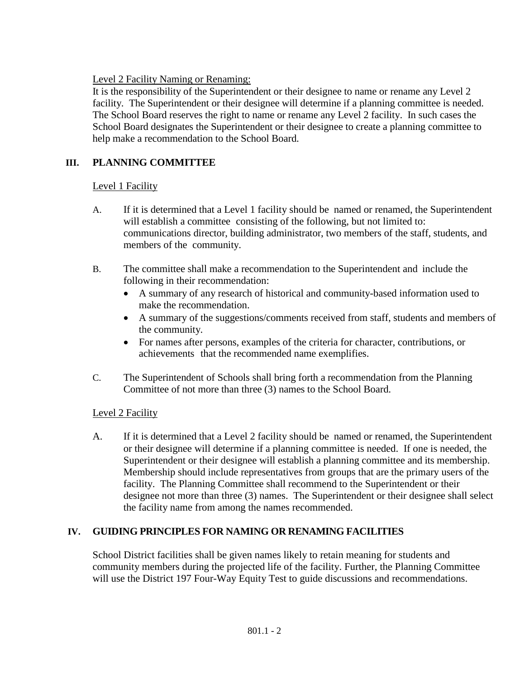Level 2 Facility Naming or Renaming:

It is the responsibility of the Superintendent or their designee to name or rename any Level 2 facility. The Superintendent or their designee will determine if a planning committee is needed. The School Board reserves the right to name or rename any Level 2 facility. In such cases the School Board designates the Superintendent or their designee to create a planning committee to help make a recommendation to the School Board.

# **III. PLANNING COMMITTEE**

### Level 1 Facility

- A. If it is determined that a Level 1 facility should be named or renamed, the Superintendent will establish a committee consisting of the following, but not limited to: communications director, building administrator, two members of the staff, students, and members of the community.
- B. The committee shall make a recommendation to the Superintendent and include the following in their recommendation:
	- A summary of any research of historical and community-based information used to make the recommendation.
	- A summary of the suggestions/comments received from staff, students and members of the community.
	- For names after persons, examples of the criteria for character, contributions, or achievements that the recommended name exemplifies.
- C. The Superintendent of Schools shall bring forth a recommendation from the Planning Committee of not more than three (3) names to the School Board.

## Level 2 Facility

A. If it is determined that a Level 2 facility should be named or renamed, the Superintendent or their designee will determine if a planning committee is needed. If one is needed, the Superintendent or their designee will establish a planning committee and its membership. Membership should include representatives from groups that are the primary users of the facility. The Planning Committee shall recommend to the Superintendent or their designee not more than three (3) names. The Superintendent or their designee shall select the facility name from among the names recommended.

## **IV. GUIDING PRINCIPLES FOR NAMING OR RENAMING FACILITIES**

School District facilities shall be given names likely to retain meaning for students and community members during the projected life of the facility. Further, the Planning Committee will use the District 197 Four-Way Equity Test to guide discussions and recommendations.